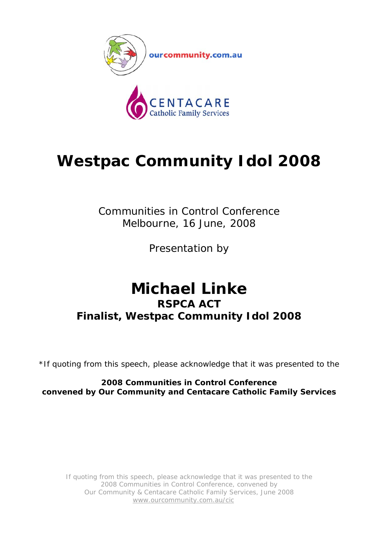

## **Westpac Community Idol 2008**

Communities in Control Conference Melbourne, 16 June, 2008

Presentation by

## **Michael Linke RSPCA ACT Finalist, Westpac Community Idol 2008**

\*If quoting from this speech, please acknowledge that it was presented to the

**2008 Communities in Control Conference convened by Our Community and Centacare Catholic Family Services**

If quoting from this speech, please acknowledge that it was presented to the 2008 Communities in Control Conference, convened by Our Community & Centacare Catholic Family Services, June 2008 www.ourcommunity.com.au/cic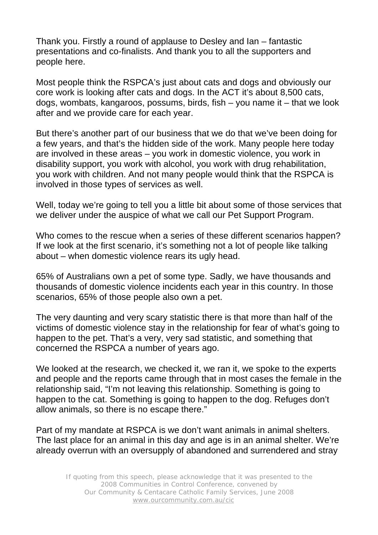Thank you. Firstly a round of applause to Desley and Ian – fantastic presentations and co-finalists. And thank you to all the supporters and people here.

Most people think the RSPCA's just about cats and dogs and obviously our core work is looking after cats and dogs. In the ACT it's about 8,500 cats, dogs, wombats, kangaroos, possums, birds, fish – you name it – that we look after and we provide care for each year.

But there's another part of our business that we do that we've been doing for a few years, and that's the hidden side of the work. Many people here today are involved in these areas – you work in domestic violence, you work in disability support, you work with alcohol, you work with drug rehabilitation, you work with children. And not many people would think that the RSPCA is involved in those types of services as well.

Well, today we're going to tell you a little bit about some of those services that we deliver under the auspice of what we call our Pet Support Program.

Who comes to the rescue when a series of these different scenarios happen? If we look at the first scenario, it's something not a lot of people like talking about – when domestic violence rears its ugly head.

65% of Australians own a pet of some type. Sadly, we have thousands and thousands of domestic violence incidents each year in this country. In those scenarios, 65% of those people also own a pet.

The very daunting and very scary statistic there is that more than half of the victims of domestic violence stay in the relationship for fear of what's going to happen to the pet. That's a very, very sad statistic, and something that concerned the RSPCA a number of years ago.

We looked at the research, we checked it, we ran it, we spoke to the experts and people and the reports came through that in most cases the female in the relationship said, "I'm not leaving this relationship. Something is going to happen to the cat. Something is going to happen to the dog. Refuges don't allow animals, so there is no escape there."

Part of my mandate at RSPCA is we don't want animals in animal shelters. The last place for an animal in this day and age is in an animal shelter. We're already overrun with an oversupply of abandoned and surrendered and stray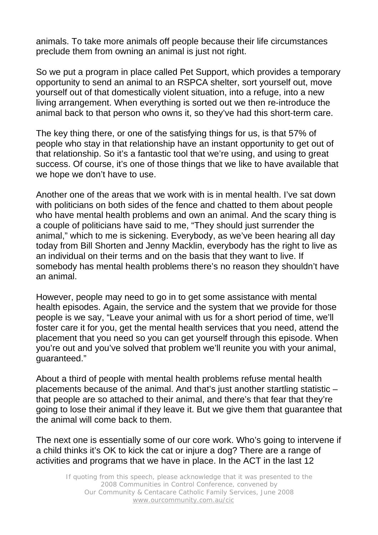animals. To take more animals off people because their life circumstances preclude them from owning an animal is just not right.

So we put a program in place called Pet Support, which provides a temporary opportunity to send an animal to an RSPCA shelter, sort yourself out, move yourself out of that domestically violent situation, into a refuge, into a new living arrangement. When everything is sorted out we then re-introduce the animal back to that person who owns it, so they've had this short-term care.

The key thing there, or one of the satisfying things for us, is that 57% of people who stay in that relationship have an instant opportunity to get out of that relationship. So it's a fantastic tool that we're using, and using to great success. Of course, it's one of those things that we like to have available that we hope we don't have to use.

Another one of the areas that we work with is in mental health. I've sat down with politicians on both sides of the fence and chatted to them about people who have mental health problems and own an animal. And the scary thing is a couple of politicians have said to me, "They should just surrender the animal," which to me is sickening. Everybody, as we've been hearing all day today from Bill Shorten and Jenny Macklin, everybody has the right to live as an individual on their terms and on the basis that they want to live. If somebody has mental health problems there's no reason they shouldn't have an animal.

However, people may need to go in to get some assistance with mental health episodes. Again, the service and the system that we provide for those people is we say, "Leave your animal with us for a short period of time, we'll foster care it for you, get the mental health services that you need, attend the placement that you need so you can get yourself through this episode. When you're out and you've solved that problem we'll reunite you with your animal, guaranteed."

About a third of people with mental health problems refuse mental health placements because of the animal. And that's just another startling statistic – that people are so attached to their animal, and there's that fear that they're going to lose their animal if they leave it. But we give them that guarantee that the animal will come back to them.

The next one is essentially some of our core work. Who's going to intervene if a child thinks it's OK to kick the cat or injure a dog? There are a range of activities and programs that we have in place. In the ACT in the last 12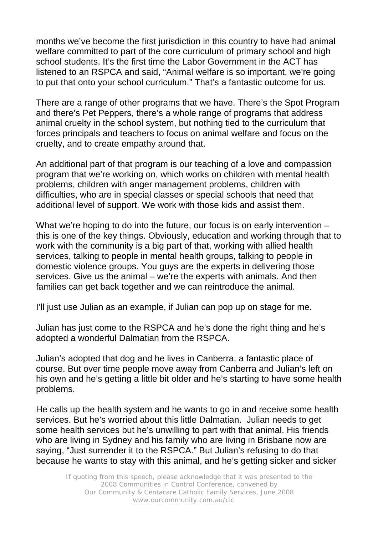months we've become the first jurisdiction in this country to have had animal welfare committed to part of the core curriculum of primary school and high school students. It's the first time the Labor Government in the ACT has listened to an RSPCA and said, "Animal welfare is so important, we're going to put that onto your school curriculum." That's a fantastic outcome for us.

There are a range of other programs that we have. There's the Spot Program and there's Pet Peppers, there's a whole range of programs that address animal cruelty in the school system, but nothing tied to the curriculum that forces principals and teachers to focus on animal welfare and focus on the cruelty, and to create empathy around that.

An additional part of that program is our teaching of a love and compassion program that we're working on, which works on children with mental health problems, children with anger management problems, children with difficulties, who are in special classes or special schools that need that additional level of support. We work with those kids and assist them.

What we're hoping to do into the future, our focus is on early intervention – this is one of the key things. Obviously, education and working through that to work with the community is a big part of that, working with allied health services, talking to people in mental health groups, talking to people in domestic violence groups. You guys are the experts in delivering those services. Give us the animal – we're the experts with animals. And then families can get back together and we can reintroduce the animal.

I'll just use Julian as an example, if Julian can pop up on stage for me.

Julian has just come to the RSPCA and he's done the right thing and he's adopted a wonderful Dalmatian from the RSPCA.

Julian's adopted that dog and he lives in Canberra, a fantastic place of course. But over time people move away from Canberra and Julian's left on his own and he's getting a little bit older and he's starting to have some health problems.

He calls up the health system and he wants to go in and receive some health services. But he's worried about this little Dalmatian. Julian needs to get some health services but he's unwilling to part with that animal. His friends who are living in Sydney and his family who are living in Brisbane now are saying, "Just surrender it to the RSPCA." But Julian's refusing to do that because he wants to stay with this animal, and he's getting sicker and sicker